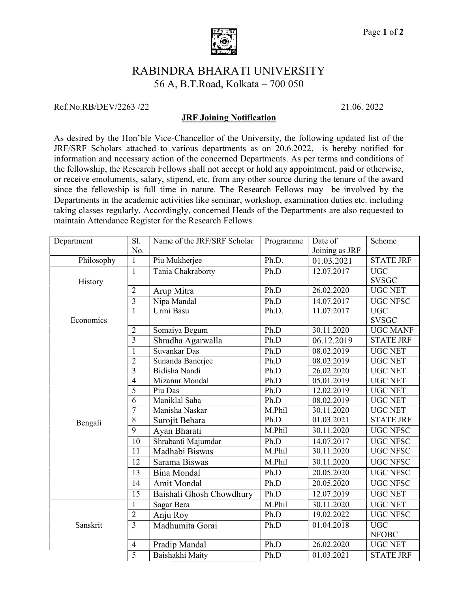

## RABINDRA BHARATI UNIVERSITY 56 A, B.T.Road, Kolkata – 700 050

## Ref.No.RB/DEV/2263 /22

21 21.06. 2022

## JRF Joining Notification

As desired by the Hon'ble Vice-Chancellor of the University, the following updated list of the JRF/SRF Scholars attached to various departments as on 20.6.2022, is hereby notified for information and necessary action of the concerned Departments. As per terms and conditions of the fellowship, the Research Fellows shall not accept or hold any appointment, paid or otherwise, or receive emoluments, salary, stipend, etc. from any other source during the tenure of the award since the fellowship is full time in nature. The Research Fellows may be involved by the Departments in the academic activities like seminar, workshop, examination duties etc. including Departments in the academic activities like seminar, workshop, examination duties etc. including<br>taking classes regularly. Accordingly, concerned Heads of the Departments are also requested to maintain Attendance Register for the Research Fellows.

| No.<br>Joining as JRF<br>$\mathbf{1}$<br>Ph.D.<br><b>STATE JRF</b><br>Philosophy<br>Piu Mukherjee<br>01.03.2021<br>12.07.2017<br>Tania Chakraborty<br>Ph.D<br><b>UGC</b><br>1<br><b>SVSGC</b><br>History<br><b>UGC NET</b><br>$\overline{2}$<br>Arup Mitra<br>Ph.D<br>26.02.2020<br>$\overline{3}$<br>Nipa Mandal<br>14.07.2017<br>Ph.D<br><b>UGC NFSC</b><br>Urmi Basu<br>11.07.2017<br><b>UGC</b><br>1<br>Ph.D.<br><b>SVSGC</b><br>Economics<br>Ph.D<br>30.11.2020<br><b>UGC MANF</b><br>Somaiya Begum<br>$\overline{2}$<br>$\overline{3}$<br>Ph.D<br>06.12.2019<br><b>STATE JRF</b><br>Shradha Agarwalla<br>Suvankar Das<br><b>UGC NET</b><br>Ph.D<br>08.02.2019<br>1<br>$\overline{2}$<br>Sunanda Banerjee<br>Ph.D<br>08.02.2019<br><b>UGC NET</b><br>$\overline{3}$<br>Bidisha Nandi<br><b>UGC NET</b><br>Ph.D<br>26.02.2020<br>$\overline{4}$<br>Mizanur Mondal<br>Ph.D<br>05.01.2019<br><b>UGC NET</b><br>5<br>Piu Das<br>Ph.D<br>12.02.2019<br><b>UGC NET</b><br>Maniklal Saha<br>Ph.D<br><b>UGC NET</b><br>6<br>08.02.2019<br>$\overline{7}$<br>M.Phil<br><b>UGC NET</b><br>Manisha Naskar<br>30.11.2020<br>$\overline{8}$<br>Ph.D<br>01.03.2021<br><b>STATE JRF</b><br>Surojit Behara<br>Bengali<br>$\overline{9}$<br>Ayan Bharati<br>M.Phil<br>30.11.2020<br><b>UGC NFSC</b><br>Shrabanti Majumdar<br>14.07.2017<br>10<br><b>UGC NFSC</b><br>Ph.D<br>11<br>M.Phil<br>30.11.2020<br>Madhabi Biswas<br><b>UGC NFSC</b><br>12<br>M.Phil<br>30.11.2020<br><b>UGC NFSC</b><br>Sarama Biswas<br>13<br><b>UGC NFSC</b><br>Ph.D<br>20.05.2020<br><b>Bina Mondal</b><br>Amit Mondal<br>20.05.2020<br><b>UGC NFSC</b><br>14<br>Ph.D<br>15<br>Ph.D<br>12.07.2019<br><b>UGC NET</b><br>Baishali Ghosh Chowdhury<br>M.Phil<br><b>UGC NET</b><br>Sagar Bera<br>30.11.2020<br>1<br>$\overline{2}$<br>19.02.2022<br><b>UGC NFSC</b><br>Ph.D<br>Anju Roy<br>$\overline{3}$<br>Madhumita Gorai<br><b>UGC</b><br>Ph.D<br>01.04.2018<br>Sanskrit<br><b>NFOBC</b><br>Ph.D<br>26.02.2020<br><b>UGC NET</b><br>$\overline{4}$<br>Pradip Mandal<br>$\overline{5}$<br>Baishakhi Maity<br>Ph.D<br>01.03.2021<br><b>STATE JRF</b> | Department | Sl. | Name of the JRF/SRF Scholar | Programme | Date of | Scheme |
|-------------------------------------------------------------------------------------------------------------------------------------------------------------------------------------------------------------------------------------------------------------------------------------------------------------------------------------------------------------------------------------------------------------------------------------------------------------------------------------------------------------------------------------------------------------------------------------------------------------------------------------------------------------------------------------------------------------------------------------------------------------------------------------------------------------------------------------------------------------------------------------------------------------------------------------------------------------------------------------------------------------------------------------------------------------------------------------------------------------------------------------------------------------------------------------------------------------------------------------------------------------------------------------------------------------------------------------------------------------------------------------------------------------------------------------------------------------------------------------------------------------------------------------------------------------------------------------------------------------------------------------------------------------------------------------------------------------------------------------------------------------------------------------------------------------------------------------------------------------------------------------------------------------------------------------------------------------------------------------------------------------------------------------------------------------------------------------------------------------------|------------|-----|-----------------------------|-----------|---------|--------|
|                                                                                                                                                                                                                                                                                                                                                                                                                                                                                                                                                                                                                                                                                                                                                                                                                                                                                                                                                                                                                                                                                                                                                                                                                                                                                                                                                                                                                                                                                                                                                                                                                                                                                                                                                                                                                                                                                                                                                                                                                                                                                                                   |            |     |                             |           |         |        |
|                                                                                                                                                                                                                                                                                                                                                                                                                                                                                                                                                                                                                                                                                                                                                                                                                                                                                                                                                                                                                                                                                                                                                                                                                                                                                                                                                                                                                                                                                                                                                                                                                                                                                                                                                                                                                                                                                                                                                                                                                                                                                                                   |            |     |                             |           |         |        |
|                                                                                                                                                                                                                                                                                                                                                                                                                                                                                                                                                                                                                                                                                                                                                                                                                                                                                                                                                                                                                                                                                                                                                                                                                                                                                                                                                                                                                                                                                                                                                                                                                                                                                                                                                                                                                                                                                                                                                                                                                                                                                                                   |            |     |                             |           |         |        |
|                                                                                                                                                                                                                                                                                                                                                                                                                                                                                                                                                                                                                                                                                                                                                                                                                                                                                                                                                                                                                                                                                                                                                                                                                                                                                                                                                                                                                                                                                                                                                                                                                                                                                                                                                                                                                                                                                                                                                                                                                                                                                                                   |            |     |                             |           |         |        |
|                                                                                                                                                                                                                                                                                                                                                                                                                                                                                                                                                                                                                                                                                                                                                                                                                                                                                                                                                                                                                                                                                                                                                                                                                                                                                                                                                                                                                                                                                                                                                                                                                                                                                                                                                                                                                                                                                                                                                                                                                                                                                                                   |            |     |                             |           |         |        |
|                                                                                                                                                                                                                                                                                                                                                                                                                                                                                                                                                                                                                                                                                                                                                                                                                                                                                                                                                                                                                                                                                                                                                                                                                                                                                                                                                                                                                                                                                                                                                                                                                                                                                                                                                                                                                                                                                                                                                                                                                                                                                                                   |            |     |                             |           |         |        |
|                                                                                                                                                                                                                                                                                                                                                                                                                                                                                                                                                                                                                                                                                                                                                                                                                                                                                                                                                                                                                                                                                                                                                                                                                                                                                                                                                                                                                                                                                                                                                                                                                                                                                                                                                                                                                                                                                                                                                                                                                                                                                                                   |            |     |                             |           |         |        |
|                                                                                                                                                                                                                                                                                                                                                                                                                                                                                                                                                                                                                                                                                                                                                                                                                                                                                                                                                                                                                                                                                                                                                                                                                                                                                                                                                                                                                                                                                                                                                                                                                                                                                                                                                                                                                                                                                                                                                                                                                                                                                                                   |            |     |                             |           |         |        |
|                                                                                                                                                                                                                                                                                                                                                                                                                                                                                                                                                                                                                                                                                                                                                                                                                                                                                                                                                                                                                                                                                                                                                                                                                                                                                                                                                                                                                                                                                                                                                                                                                                                                                                                                                                                                                                                                                                                                                                                                                                                                                                                   |            |     |                             |           |         |        |
|                                                                                                                                                                                                                                                                                                                                                                                                                                                                                                                                                                                                                                                                                                                                                                                                                                                                                                                                                                                                                                                                                                                                                                                                                                                                                                                                                                                                                                                                                                                                                                                                                                                                                                                                                                                                                                                                                                                                                                                                                                                                                                                   |            |     |                             |           |         |        |
|                                                                                                                                                                                                                                                                                                                                                                                                                                                                                                                                                                                                                                                                                                                                                                                                                                                                                                                                                                                                                                                                                                                                                                                                                                                                                                                                                                                                                                                                                                                                                                                                                                                                                                                                                                                                                                                                                                                                                                                                                                                                                                                   |            |     |                             |           |         |        |
|                                                                                                                                                                                                                                                                                                                                                                                                                                                                                                                                                                                                                                                                                                                                                                                                                                                                                                                                                                                                                                                                                                                                                                                                                                                                                                                                                                                                                                                                                                                                                                                                                                                                                                                                                                                                                                                                                                                                                                                                                                                                                                                   |            |     |                             |           |         |        |
|                                                                                                                                                                                                                                                                                                                                                                                                                                                                                                                                                                                                                                                                                                                                                                                                                                                                                                                                                                                                                                                                                                                                                                                                                                                                                                                                                                                                                                                                                                                                                                                                                                                                                                                                                                                                                                                                                                                                                                                                                                                                                                                   |            |     |                             |           |         |        |
|                                                                                                                                                                                                                                                                                                                                                                                                                                                                                                                                                                                                                                                                                                                                                                                                                                                                                                                                                                                                                                                                                                                                                                                                                                                                                                                                                                                                                                                                                                                                                                                                                                                                                                                                                                                                                                                                                                                                                                                                                                                                                                                   |            |     |                             |           |         |        |
|                                                                                                                                                                                                                                                                                                                                                                                                                                                                                                                                                                                                                                                                                                                                                                                                                                                                                                                                                                                                                                                                                                                                                                                                                                                                                                                                                                                                                                                                                                                                                                                                                                                                                                                                                                                                                                                                                                                                                                                                                                                                                                                   |            |     |                             |           |         |        |
|                                                                                                                                                                                                                                                                                                                                                                                                                                                                                                                                                                                                                                                                                                                                                                                                                                                                                                                                                                                                                                                                                                                                                                                                                                                                                                                                                                                                                                                                                                                                                                                                                                                                                                                                                                                                                                                                                                                                                                                                                                                                                                                   |            |     |                             |           |         |        |
|                                                                                                                                                                                                                                                                                                                                                                                                                                                                                                                                                                                                                                                                                                                                                                                                                                                                                                                                                                                                                                                                                                                                                                                                                                                                                                                                                                                                                                                                                                                                                                                                                                                                                                                                                                                                                                                                                                                                                                                                                                                                                                                   |            |     |                             |           |         |        |
|                                                                                                                                                                                                                                                                                                                                                                                                                                                                                                                                                                                                                                                                                                                                                                                                                                                                                                                                                                                                                                                                                                                                                                                                                                                                                                                                                                                                                                                                                                                                                                                                                                                                                                                                                                                                                                                                                                                                                                                                                                                                                                                   |            |     |                             |           |         |        |
|                                                                                                                                                                                                                                                                                                                                                                                                                                                                                                                                                                                                                                                                                                                                                                                                                                                                                                                                                                                                                                                                                                                                                                                                                                                                                                                                                                                                                                                                                                                                                                                                                                                                                                                                                                                                                                                                                                                                                                                                                                                                                                                   |            |     |                             |           |         |        |
|                                                                                                                                                                                                                                                                                                                                                                                                                                                                                                                                                                                                                                                                                                                                                                                                                                                                                                                                                                                                                                                                                                                                                                                                                                                                                                                                                                                                                                                                                                                                                                                                                                                                                                                                                                                                                                                                                                                                                                                                                                                                                                                   |            |     |                             |           |         |        |
|                                                                                                                                                                                                                                                                                                                                                                                                                                                                                                                                                                                                                                                                                                                                                                                                                                                                                                                                                                                                                                                                                                                                                                                                                                                                                                                                                                                                                                                                                                                                                                                                                                                                                                                                                                                                                                                                                                                                                                                                                                                                                                                   |            |     |                             |           |         |        |
|                                                                                                                                                                                                                                                                                                                                                                                                                                                                                                                                                                                                                                                                                                                                                                                                                                                                                                                                                                                                                                                                                                                                                                                                                                                                                                                                                                                                                                                                                                                                                                                                                                                                                                                                                                                                                                                                                                                                                                                                                                                                                                                   |            |     |                             |           |         |        |
|                                                                                                                                                                                                                                                                                                                                                                                                                                                                                                                                                                                                                                                                                                                                                                                                                                                                                                                                                                                                                                                                                                                                                                                                                                                                                                                                                                                                                                                                                                                                                                                                                                                                                                                                                                                                                                                                                                                                                                                                                                                                                                                   |            |     |                             |           |         |        |
|                                                                                                                                                                                                                                                                                                                                                                                                                                                                                                                                                                                                                                                                                                                                                                                                                                                                                                                                                                                                                                                                                                                                                                                                                                                                                                                                                                                                                                                                                                                                                                                                                                                                                                                                                                                                                                                                                                                                                                                                                                                                                                                   |            |     |                             |           |         |        |
|                                                                                                                                                                                                                                                                                                                                                                                                                                                                                                                                                                                                                                                                                                                                                                                                                                                                                                                                                                                                                                                                                                                                                                                                                                                                                                                                                                                                                                                                                                                                                                                                                                                                                                                                                                                                                                                                                                                                                                                                                                                                                                                   |            |     |                             |           |         |        |
|                                                                                                                                                                                                                                                                                                                                                                                                                                                                                                                                                                                                                                                                                                                                                                                                                                                                                                                                                                                                                                                                                                                                                                                                                                                                                                                                                                                                                                                                                                                                                                                                                                                                                                                                                                                                                                                                                                                                                                                                                                                                                                                   |            |     |                             |           |         |        |
|                                                                                                                                                                                                                                                                                                                                                                                                                                                                                                                                                                                                                                                                                                                                                                                                                                                                                                                                                                                                                                                                                                                                                                                                                                                                                                                                                                                                                                                                                                                                                                                                                                                                                                                                                                                                                                                                                                                                                                                                                                                                                                                   |            |     |                             |           |         |        |
|                                                                                                                                                                                                                                                                                                                                                                                                                                                                                                                                                                                                                                                                                                                                                                                                                                                                                                                                                                                                                                                                                                                                                                                                                                                                                                                                                                                                                                                                                                                                                                                                                                                                                                                                                                                                                                                                                                                                                                                                                                                                                                                   |            |     |                             |           |         |        |
|                                                                                                                                                                                                                                                                                                                                                                                                                                                                                                                                                                                                                                                                                                                                                                                                                                                                                                                                                                                                                                                                                                                                                                                                                                                                                                                                                                                                                                                                                                                                                                                                                                                                                                                                                                                                                                                                                                                                                                                                                                                                                                                   |            |     |                             |           |         |        |
|                                                                                                                                                                                                                                                                                                                                                                                                                                                                                                                                                                                                                                                                                                                                                                                                                                                                                                                                                                                                                                                                                                                                                                                                                                                                                                                                                                                                                                                                                                                                                                                                                                                                                                                                                                                                                                                                                                                                                                                                                                                                                                                   |            |     |                             |           |         |        |
|                                                                                                                                                                                                                                                                                                                                                                                                                                                                                                                                                                                                                                                                                                                                                                                                                                                                                                                                                                                                                                                                                                                                                                                                                                                                                                                                                                                                                                                                                                                                                                                                                                                                                                                                                                                                                                                                                                                                                                                                                                                                                                                   |            |     |                             |           |         |        |